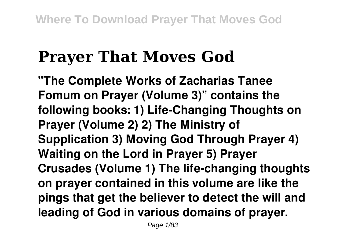## **Prayer That Moves God**

**"The Complete Works of Zacharias Tanee Fomum on Prayer (Volume 3)" contains the following books: 1) Life-Changing Thoughts on Prayer (Volume 2) 2) The Ministry of Supplication 3) Moving God Through Prayer 4) Waiting on the Lord in Prayer 5) Prayer Crusades (Volume 1) The life-changing thoughts on prayer contained in this volume are like the pings that get the believer to detect the will and leading of God in various domains of prayer.**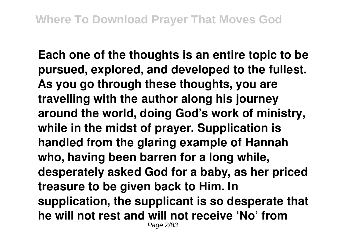**Each one of the thoughts is an entire topic to be pursued, explored, and developed to the fullest. As you go through these thoughts, you are travelling with the author along his journey around the world, doing God's work of ministry, while in the midst of prayer. Supplication is handled from the glaring example of Hannah who, having been barren for a long while, desperately asked God for a baby, as her priced treasure to be given back to Him. In supplication, the supplicant is so desperate that he will not rest and will not receive 'No' from** Page 2/83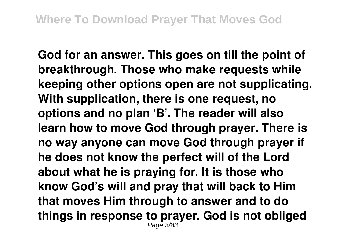**God for an answer. This goes on till the point of breakthrough. Those who make requests while keeping other options open are not supplicating. With supplication, there is one request, no options and no plan 'B'. The reader will also learn how to move God through prayer. There is no way anyone can move God through prayer if he does not know the perfect will of the Lord about what he is praying for. It is those who know God's will and pray that will back to Him that moves Him through to answer and to do things in response to prayer. God is not obliged** Page 3/83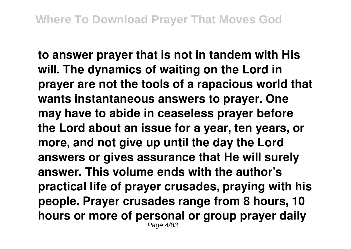**to answer prayer that is not in tandem with His will. The dynamics of waiting on the Lord in prayer are not the tools of a rapacious world that wants instantaneous answers to prayer. One may have to abide in ceaseless prayer before the Lord about an issue for a year, ten years, or more, and not give up until the day the Lord answers or gives assurance that He will surely answer. This volume ends with the author's practical life of prayer crusades, praying with his people. Prayer crusades range from 8 hours, 10 hours or more of personal or group prayer daily** Page 4/83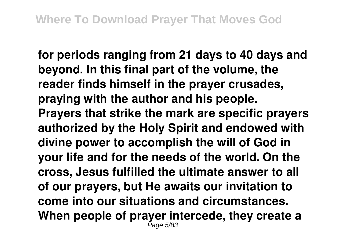**for periods ranging from 21 days to 40 days and beyond. In this final part of the volume, the reader finds himself in the prayer crusades, praying with the author and his people. Prayers that strike the mark are specific prayers authorized by the Holy Spirit and endowed with divine power to accomplish the will of God in your life and for the needs of the world. On the cross, Jesus fulfilled the ultimate answer to all of our prayers, but He awaits our invitation to come into our situations and circumstances. When people of prayer intercede, they create a** Page 5/83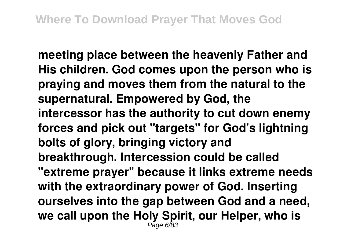**meeting place between the heavenly Father and His children. God comes upon the person who is praying and moves them from the natural to the supernatural. Empowered by God, the intercessor has the authority to cut down enemy forces and pick out "targets" for God's lightning bolts of glory, bringing victory and breakthrough. Intercession could be called "extreme prayer" because it links extreme needs with the extraordinary power of God. Inserting ourselves into the gap between God and a need, we call upon the Holy Spirit, our Helper, who is** Page 6/83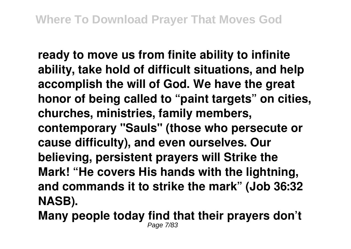**ready to move us from finite ability to infinite ability, take hold of difficult situations, and help accomplish the will of God. We have the great honor of being called to "paint targets" on cities, churches, ministries, family members, contemporary "Sauls" (those who persecute or cause difficulty), and even ourselves. Our believing, persistent prayers will Strike the Mark! "He covers His hands with the lightning, and commands it to strike the mark" (Job 36:32 NASB).**

**Many people today find that their prayers don't** Page 7/83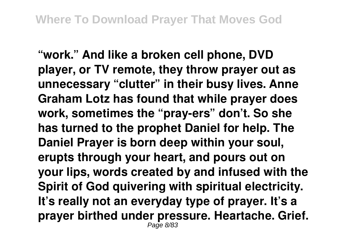**"work." And like a broken cell phone, DVD player, or TV remote, they throw prayer out as unnecessary "clutter" in their busy lives. Anne Graham Lotz has found that while prayer does work, sometimes the "pray-ers" don't. So she has turned to the prophet Daniel for help. The Daniel Prayer is born deep within your soul, erupts through your heart, and pours out on your lips, words created by and infused with the Spirit of God quivering with spiritual electricity. It's really not an everyday type of prayer. It's a prayer birthed under pressure. Heartache. Grief.** Page 8/83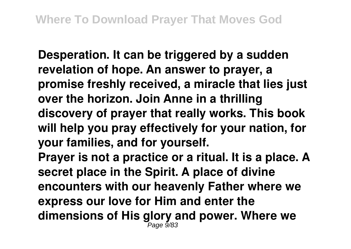**Desperation. It can be triggered by a sudden revelation of hope. An answer to prayer, a promise freshly received, a miracle that lies just over the horizon. Join Anne in a thrilling discovery of prayer that really works. This book will help you pray effectively for your nation, for your families, and for yourself.**

**Prayer is not a practice or a ritual. It is a place. A secret place in the Spirit. A place of divine encounters with our heavenly Father where we express our love for Him and enter the dimensions of His glory and power. Where we** Page 9/83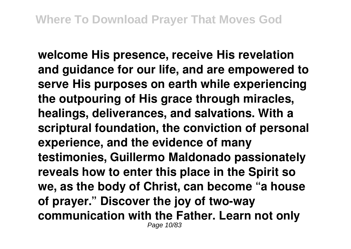**welcome His presence, receive His revelation and guidance for our life, and are empowered to serve His purposes on earth while experiencing the outpouring of His grace through miracles, healings, deliverances, and salvations. With a scriptural foundation, the conviction of personal experience, and the evidence of many testimonies, Guillermo Maldonado passionately reveals how to enter this place in the Spirit so we, as the body of Christ, can become "a house of prayer." Discover the joy of two-way communication with the Father. Learn not only** Page 10/83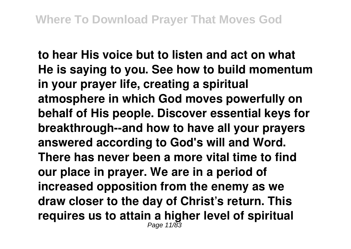**to hear His voice but to listen and act on what He is saying to you. See how to build momentum in your prayer life, creating a spiritual atmosphere in which God moves powerfully on behalf of His people. Discover essential keys for breakthrough--and how to have all your prayers answered according to God's will and Word. There has never been a more vital time to find our place in prayer. We are in a period of increased opposition from the enemy as we draw closer to the day of Christ's return. This requires us to attain a higher level of spiritual** Page 11/83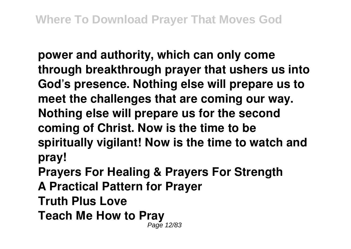**power and authority, which can only come through breakthrough prayer that ushers us into God's presence. Nothing else will prepare us to meet the challenges that are coming our way. Nothing else will prepare us for the second coming of Christ. Now is the time to be spiritually vigilant! Now is the time to watch and pray!**

**Prayers For Healing & Prayers For Strength**

- **A Practical Pattern for Prayer**
- **Truth Plus Love**
- **Teach Me How to Pray** Page 12/83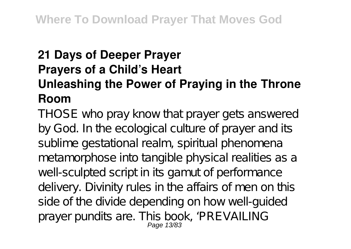## **21 Days of Deeper Prayer Prayers of a Child's Heart Unleashing the Power of Praying in the Throne Room**

THOSE who pray know that prayer gets answered by God. In the ecological culture of prayer and its sublime gestational realm, spiritual phenomena metamorphose into tangible physical realities as a well-sculpted script in its gamut of performance delivery. Divinity rules in the affairs of men on this side of the divide depending on how well-guided prayer pundits are. This book, 'PREVAILING<br>Page 13/83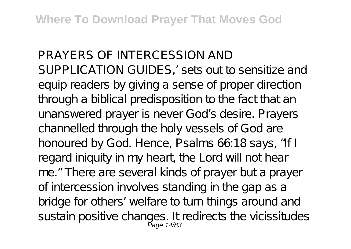PRAYERS OF INTERCESSION AND SUPPLICATION GUIDES,' sets out to sensitize and equip readers by giving a sense of proper direction through a biblical predisposition to the fact that an unanswered prayer is never God's desire. Prayers channelled through the holy vessels of God are honoured by God. Hence, Psalms 66:18 says, "If I regard iniquity in my heart, the Lord will not hear me." There are several kinds of prayer but a prayer of intercession involves standing in the gap as a bridge for others' welfare to turn things around and sustain positive changes. It redirects the vicissitudes<br>Page 14/83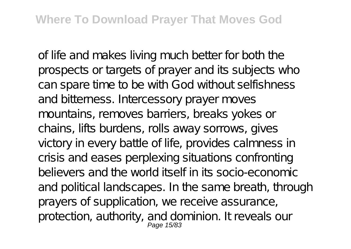of life and makes living much better for both the prospects or targets of prayer and its subjects who can spare time to be with God without selfishness and bitterness. Intercessory prayer moves mountains, removes barriers, breaks yokes or chains, lifts burdens, rolls away sorrows, gives victory in every battle of life, provides calmness in crisis and eases perplexing situations confronting believers and the world itself in its socio-economic and political landscapes. In the same breath, through prayers of supplication, we receive assurance, protection, authority, and dominion. It reveals our<br>Page 15/83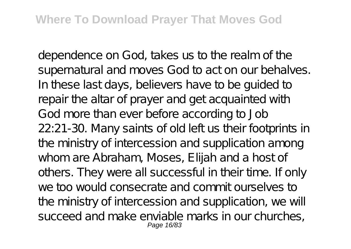dependence on God, takes us to the realm of the supernatural and moves God to act on our behalves. In these last days, believers have to be guided to repair the altar of prayer and get acquainted with God more than ever before according to Job 22:21-30. Many saints of old left us their footprints in the ministry of intercession and supplication among whom are Abraham, Moses, Elijah and a host of others. They were all successful in their time. If only we too would consecrate and commit ourselves to the ministry of intercession and supplication, we will succeed and make enviable marks in our churches, Page 16/83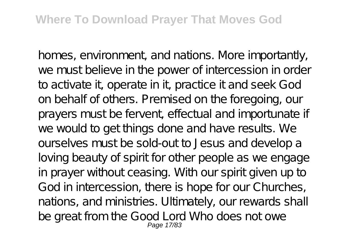homes, environment, and nations. More importantly, we must believe in the power of intercession in order to activate it, operate in it, practice it and seek God on behalf of others. Premised on the foregoing, our prayers must be fervent, effectual and importunate if we would to get things done and have results. We ourselves must be sold-out to Jesus and develop a loving beauty of spirit for other people as we engage in prayer without ceasing. With our spirit given up to God in intercession, there is hope for our Churches, nations, and ministries. Ultimately, our rewards shall be great from the Good Lord Who does not owe Page 17/83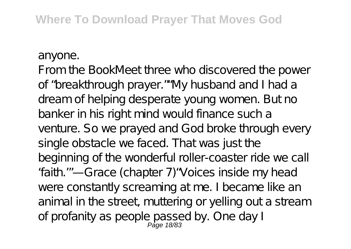anyone.

From the BookMeet three who discovered the power of "breakthrough prayer.""My husband and I had a dream of helping desperate young women. But no banker in his right mind would finance such a venture. So we prayed and God broke through every single obstacle we faced. That was just the beginning of the wonderful roller-coaster ride we call 'faith.'"—Grace (chapter 7)"Voices inside my head were constantly screaming at me. I became like an animal in the street, muttering or yelling out a stream of profanity as people passed by. One day I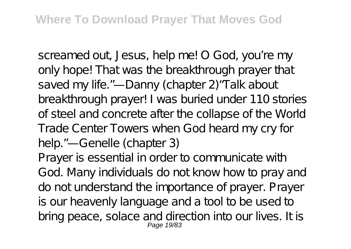screamed out, Jesus, help me! O God, you're my only hope! That was the breakthrough prayer that saved my life."—Danny (chapter 2)"Talk about breakthrough prayer! I was buried under 110 stories of steel and concrete after the collapse of the World Trade Center Towers when God heard my cry for help."—Genelle (chapter 3) Prayer is essential in order to communicate with God. Many individuals do not know how to pray and do not understand the importance of prayer. Prayer is our heavenly language and a tool to be used to bring peace, solace and direction into our lives. It is Page 19/83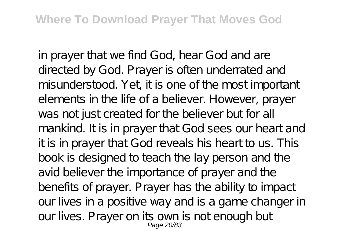in prayer that we find God, hear God and are directed by God. Prayer is often underrated and misunderstood. Yet, it is one of the most important elements in the life of a believer. However, prayer was not just created for the believer but for all mankind. It is in prayer that God sees our heart and it is in prayer that God reveals his heart to us. This book is designed to teach the lay person and the avid believer the importance of prayer and the benefits of prayer. Prayer has the ability to impact our lives in a positive way and is a game changer in our lives. Prayer on its own is not enough but Page 20/83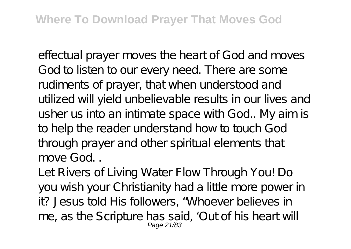effectual prayer moves the heart of God and moves God to listen to our every need. There are some rudiments of prayer, that when understood and utilized will yield unbelievable results in our lives and usher us into an intimate space with God.. My aim is to help the reader understand how to touch God through prayer and other spiritual elements that move God. .

Let Rivers of Living Water Flow Through You! Do you wish your Christianity had a little more power in it? Jesus told His followers, "Whoever believes in me, as the Scripture has said, 'Out of his heart will Page 21/83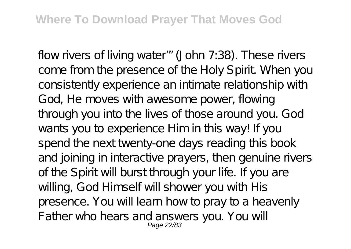flow rivers of living water'" (John 7:38). These rivers come from the presence of the Holy Spirit. When you consistently experience an intimate relationship with God, He moves with awesome power, flowing through you into the lives of those around you. God wants you to experience Him in this way! If you spend the next twenty-one days reading this book and joining in interactive prayers, then genuine rivers of the Spirit will burst through your life. If you are willing, God Himself will shower you with His presence. You will learn how to pray to a heavenly Father who hears and answers you. You will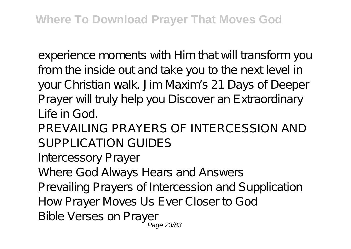experience moments with Him that will transform you from the inside out and take you to the next level in your Christian walk. Jim Maxim's 21 Days of Deeper Prayer will truly help you Discover an Extraordinary Life in God.

PREVAILING PRAYERS OF INTERCESSION AND SUPPLICATION GUIDES

Intercessory Prayer

Where God Always Hears and Answers

Prevailing Prayers of Intercession and Supplication

How Prayer Moves Us Ever Closer to God

Bible Verses on Prayer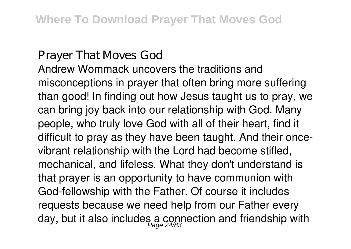## Prayer That Moves God

Andrew Wommack uncovers the traditions and misconceptions in prayer that often bring more suffering than good! In finding out how Jesus taught us to pray, we can bring joy back into our relationship with God. Many people, who truly love God with all of their heart, find it difficult to pray as they have been taught. And their oncevibrant relationship with the Lord had become stifled, mechanical, and lifeless. What they don't understand is that prayer is an opportunity to have communion with God-fellowship with the Father. Of course it includes requests because we need help from our Father every day, but it also includes a connection and friendship with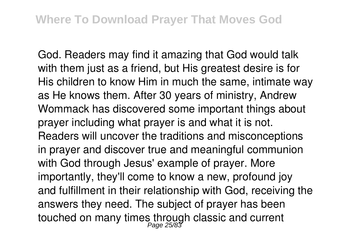God. Readers may find it amazing that God would talk with them just as a friend, but His greatest desire is for His children to know Him in much the same, intimate way as He knows them. After 30 years of ministry, Andrew Wommack has discovered some important things about prayer including what prayer is and what it is not. Readers will uncover the traditions and misconceptions in prayer and discover true and meaningful communion with God through Jesus' example of prayer. More importantly, they'll come to know a new, profound joy and fulfillment in their relationship with God, receiving the answers they need. The subject of prayer has been touched on many times through classic and current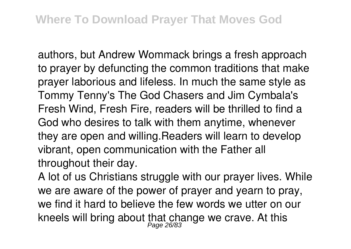authors, but Andrew Wommack brings a fresh approach to prayer by defuncting the common traditions that make prayer laborious and lifeless. In much the same style as Tommy Tenny's The God Chasers and Jim Cymbala's Fresh Wind, Fresh Fire, readers will be thrilled to find a God who desires to talk with them anytime, whenever they are open and willing.Readers will learn to develop vibrant, open communication with the Father all throughout their day.

A lot of us Christians struggle with our prayer lives. While we are aware of the power of prayer and yearn to pray, we find it hard to believe the few words we utter on our kneels will bring about that change we crave. At this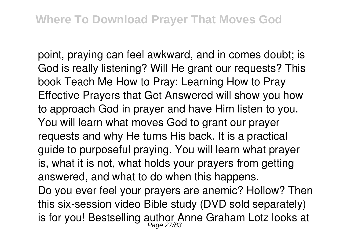point, praying can feel awkward, and in comes doubt; is God is really listening? Will He grant our requests? This book Teach Me How to Pray: Learning How to Pray Effective Prayers that Get Answered will show you how to approach God in prayer and have Him listen to you. You will learn what moves God to grant our prayer requests and why He turns His back. It is a practical guide to purposeful praying. You will learn what prayer is, what it is not, what holds your prayers from getting answered, and what to do when this happens.

Do you ever feel your prayers are anemic? Hollow? Then this six-session video Bible study (DVD sold separately) is for you! Bestselling author Anne Graham Lotz looks at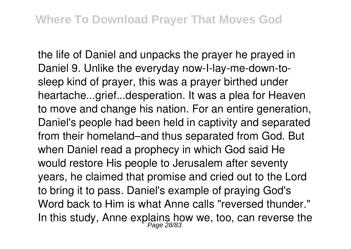the life of Daniel and unpacks the prayer he prayed in Daniel 9. Unlike the everyday now-I-lay-me-down-tosleep kind of prayer, this was a prayer birthed under heartache...grief...desperation. It was a plea for Heaven to move and change his nation. For an entire generation, Daniel's people had been held in captivity and separated from their homeland–and thus separated from God. But when Daniel read a prophecy in which God said He would restore His people to Jerusalem after seventy years, he claimed that promise and cried out to the Lord to bring it to pass. Daniel's example of praying God's Word back to Him is what Anne calls "reversed thunder." In this study, Anne explains how we, too, can reverse the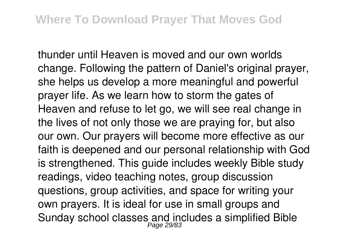thunder until Heaven is moved and our own worlds change. Following the pattern of Daniel's original prayer, she helps us develop a more meaningful and powerful prayer life. As we learn how to storm the gates of Heaven and refuse to let go, we will see real change in the lives of not only those we are praying for, but also our own. Our prayers will become more effective as our faith is deepened and our personal relationship with God is strengthened. This guide includes weekly Bible study readings, video teaching notes, group discussion questions, group activities, and space for writing your own prayers. It is ideal for use in small groups and Sunday school classes and includes a simplified Bible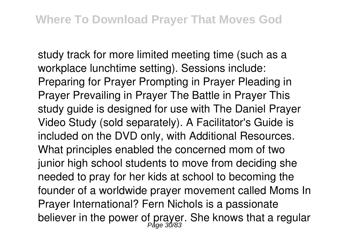study track for more limited meeting time (such as a workplace lunchtime setting). Sessions include: Preparing for Prayer Prompting in Prayer Pleading in Prayer Prevailing in Prayer The Battle in Prayer This study guide is designed for use with The Daniel Prayer Video Study (sold separately). A Facilitator's Guide is included on the DVD only, with Additional Resources. What principles enabled the concerned mom of two junior high school students to move from deciding she needed to pray for her kids at school to becoming the founder of a worldwide prayer movement called Moms In Prayer International? Fern Nichols is a passionate believer in the power of prayer. She knows that a regular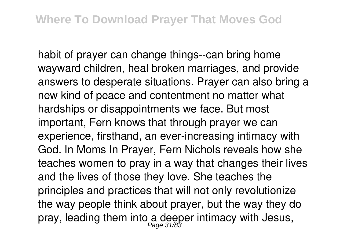habit of prayer can change things--can bring home wayward children, heal broken marriages, and provide answers to desperate situations. Prayer can also bring a new kind of peace and contentment no matter what hardships or disappointments we face. But most important, Fern knows that through prayer we can experience, firsthand, an ever-increasing intimacy with God. In Moms In Prayer, Fern Nichols reveals how she teaches women to pray in a way that changes their lives and the lives of those they love. She teaches the principles and practices that will not only revolutionize the way people think about prayer, but the way they do pray, leading them into a deeper intimacy with Jesus,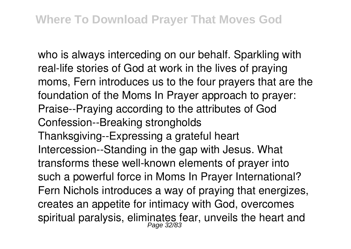who is always interceding on our behalf. Sparkling with real-life stories of God at work in the lives of praying moms, Fern introduces us to the four prayers that are the foundation of the Moms In Prayer approach to prayer: Praise--Praying according to the attributes of God Confession--Breaking strongholds Thanksgiving--Expressing a grateful heart Intercession--Standing in the gap with Jesus. What transforms these well-known elements of prayer into such a powerful force in Moms In Prayer International? Fern Nichols introduces a way of praying that energizes, creates an appetite for intimacy with God, overcomes spiritual paralysis, eliminates fear, unveils the heart and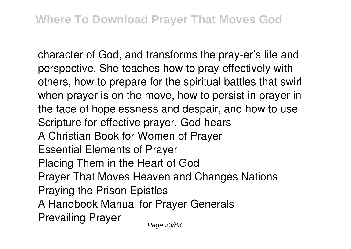character of God, and transforms the pray-er's life and perspective. She teaches how to pray effectively with others, how to prepare for the spiritual battles that swirl when prayer is on the move, how to persist in prayer in the face of hopelessness and despair, and how to use Scripture for effective prayer. God hears A Christian Book for Women of Prayer Essential Elements of Prayer Placing Them in the Heart of God Prayer That Moves Heaven and Changes Nations Praying the Prison Epistles A Handbook Manual for Prayer Generals Prevailing Prayer

Page 33/83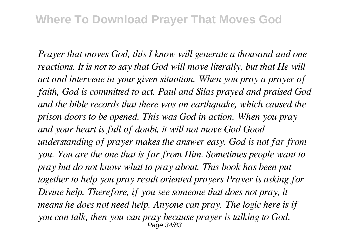*Prayer that moves God, this I know will generate a thousand and one reactions. It is not to say that God will move literally, but that He will act and intervene in your given situation. When you pray a prayer of faith, God is committed to act. Paul and Silas prayed and praised God and the bible records that there was an earthquake, which caused the prison doors to be opened. This was God in action. When you pray and your heart is full of doubt, it will not move God Good understanding of prayer makes the answer easy. God is not far from you. You are the one that is far from Him. Sometimes people want to pray but do not know what to pray about. This book has been put together to help you pray result oriented prayers Prayer is asking for Divine help. Therefore, if you see someone that does not pray, it means he does not need help. Anyone can pray. The logic here is if you can talk, then you can pray because prayer is talking to God.* Page 34/83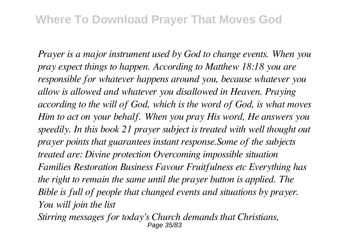*Prayer is a major instrument used by God to change events. When you pray expect things to happen. According to Matthew 18:18 you are responsible for whatever happens around you, because whatever you allow is allowed and whatever you disallowed in Heaven. Praying according to the will of God, which is the word of God, is what moves Him to act on your behalf. When you pray His word, He answers you speedily. In this book 21 prayer subject is treated with well thought out prayer points that guarantees instant response.Some of the subjects treated are: Divine protection Overcoming impossible situation Families Restoration Business Favour Fruitfulness etc Everything has the right to remain the same until the prayer button is applied. The Bible is full of people that changed events and situations by prayer. You will join the list*

*Stirring messages for today's Church demands that Christians,* Page 35/83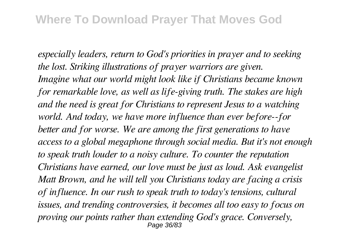*especially leaders, return to God's priorities in prayer and to seeking the lost. Striking illustrations of prayer warriors are given. Imagine what our world might look like if Christians became known for remarkable love, as well as life-giving truth. The stakes are high and the need is great for Christians to represent Jesus to a watching world. And today, we have more influence than ever before--for better and for worse. We are among the first generations to have access to a global megaphone through social media. But it's not enough to speak truth louder to a noisy culture. To counter the reputation Christians have earned, our love must be just as loud. Ask evangelist Matt Brown, and he will tell you Christians today are facing a crisis of influence. In our rush to speak truth to today's tensions, cultural issues, and trending controversies, it becomes all too easy to focus on proving our points rather than extending God's grace. Conversely,* Page 36/83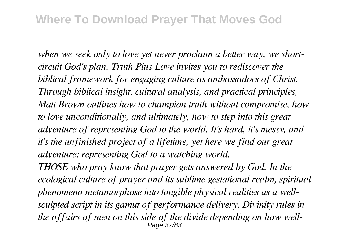*when we seek only to love yet never proclaim a better way, we shortcircuit God's plan. Truth Plus Love invites you to rediscover the biblical framework for engaging culture as ambassadors of Christ. Through biblical insight, cultural analysis, and practical principles, Matt Brown outlines how to champion truth without compromise, how to love unconditionally, and ultimately, how to step into this great adventure of representing God to the world. It's hard, it's messy, and it's the unfinished project of a lifetime, yet here we find our great adventure: representing God to a watching world. THOSE who pray know that prayer gets answered by God. In the ecological culture of prayer and its sublime gestational realm, spiritual phenomena metamorphose into tangible physical realities as a wellsculpted script in its gamut of performance delivery. Divinity rules in the affairs of men on this side of the divide depending on how well-*Page 37/83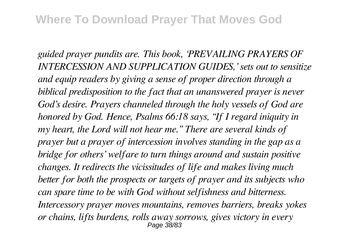*guided prayer pundits are. This book, 'PREVAILING PRAYERS OF INTERCESSION AND SUPPLICATION GUIDES,' sets out to sensitize and equip readers by giving a sense of proper direction through a biblical predisposition to the fact that an unanswered prayer is never God's desire. Prayers channeled through the holy vessels of God are honored by God. Hence, Psalms 66:18 says, "If I regard iniquity in my heart, the Lord will not hear me." There are several kinds of prayer but a prayer of intercession involves standing in the gap as a bridge for others' welfare to turn things around and sustain positive changes. It redirects the vicissitudes of life and makes living much better for both the prospects or targets of prayer and its subjects who can spare time to be with God without selfishness and bitterness. Intercessory prayer moves mountains, removes barriers, breaks yokes or chains, lifts burdens, rolls away sorrows, gives victory in every* Page 38/83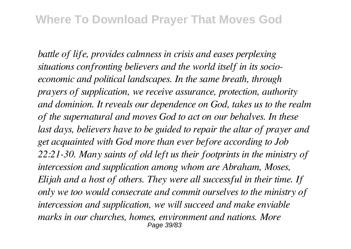*battle of life, provides calmness in crisis and eases perplexing situations confronting believers and the world itself in its socioeconomic and political landscapes. In the same breath, through prayers of supplication, we receive assurance, protection, authority and dominion. It reveals our dependence on God, takes us to the realm of the supernatural and moves God to act on our behalves. In these last days, believers have to be guided to repair the altar of prayer and get acquainted with God more than ever before according to Job 22:21-30. Many saints of old left us their footprints in the ministry of intercession and supplication among whom are Abraham, Moses, Elijah and a host of others. They were all successful in their time. If only we too would consecrate and commit ourselves to the ministry of intercession and supplication, we will succeed and make enviable marks in our churches, homes, environment and nations. More* Page 39/83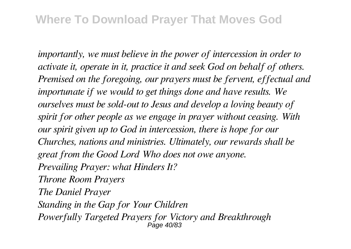*importantly, we must believe in the power of intercession in order to activate it, operate in it, practice it and seek God on behalf of others. Premised on the foregoing, our prayers must be fervent, effectual and importunate if we would to get things done and have results. We ourselves must be sold-out to Jesus and develop a loving beauty of spirit for other people as we engage in prayer without ceasing. With our spirit given up to God in intercession, there is hope for our Churches, nations and ministries. Ultimately, our rewards shall be great from the Good Lord Who does not owe anyone. Prevailing Prayer: what Hinders It? Throne Room Prayers The Daniel Prayer Standing in the Gap for Your Children Powerfully Targeted Prayers for Victory and Breakthrough* Page 40/83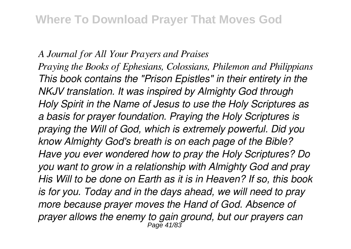## *A Journal for All Your Prayers and Praises*

*Praying the Books of Ephesians, Colossians, Philemon and Philippians This book contains the "Prison Epistles" in their entirety in the NKJV translation. It was inspired by Almighty God through Holy Spirit in the Name of Jesus to use the Holy Scriptures as a basis for prayer foundation. Praying the Holy Scriptures is praying the Will of God, which is extremely powerful. Did you know Almighty God's breath is on each page of the Bible? Have you ever wondered how to pray the Holy Scriptures? Do you want to grow in a relationship with Almighty God and pray His Will to be done on Earth as it is in Heaven? If so, this book is for you. Today and in the days ahead, we will need to pray more because prayer moves the Hand of God. Absence of prayer allows the enemy to gain ground, but our prayers can* Page 41/83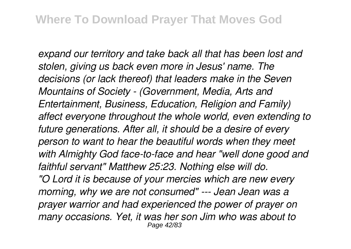*expand our territory and take back all that has been lost and stolen, giving us back even more in Jesus' name. The decisions (or lack thereof) that leaders make in the Seven Mountains of Society - (Government, Media, Arts and Entertainment, Business, Education, Religion and Family) affect everyone throughout the whole world, even extending to future generations. After all, it should be a desire of every person to want to hear the beautiful words when they meet with Almighty God face-to-face and hear "well done good and faithful servant" Matthew 25:23. Nothing else will do. "O Lord it is because of your mercies which are new every morning, why we are not consumed" --- Jean Jean was a prayer warrior and had experienced the power of prayer on many occasions. Yet, it was her son Jim who was about to* Page 42/83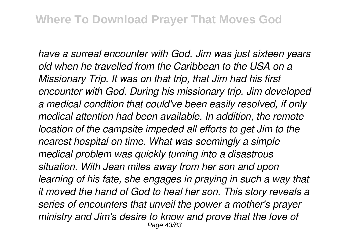*have a surreal encounter with God. Jim was just sixteen years old when he travelled from the Caribbean to the USA on a Missionary Trip. It was on that trip, that Jim had his first encounter with God. During his missionary trip, Jim developed a medical condition that could've been easily resolved, if only medical attention had been available. In addition, the remote location of the campsite impeded all efforts to get Jim to the nearest hospital on time. What was seemingly a simple medical problem was quickly turning into a disastrous situation. With Jean miles away from her son and upon learning of his fate, she engages in praying in such a way that it moved the hand of God to heal her son. This story reveals a series of encounters that unveil the power a mother's prayer ministry and Jim's desire to know and prove that the love of* Page 43/83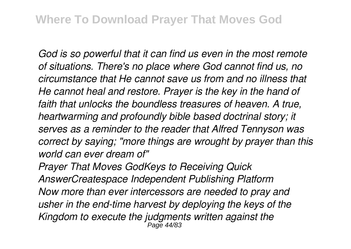*God is so powerful that it can find us even in the most remote of situations. There's no place where God cannot find us, no circumstance that He cannot save us from and no illness that He cannot heal and restore. Prayer is the key in the hand of faith that unlocks the boundless treasures of heaven. A true, heartwarming and profoundly bible based doctrinal story; it serves as a reminder to the reader that Alfred Tennyson was correct by saying; "more things are wrought by prayer than this world can ever dream of"*

*Prayer That Moves GodKeys to Receiving Quick AnswerCreatespace Independent Publishing Platform Now more than ever intercessors are needed to pray and usher in the end-time harvest by deploying the keys of the Kingdom to execute the judgments written against the* Page 44/83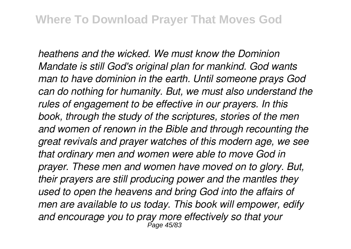*heathens and the wicked. We must know the Dominion Mandate is still God's original plan for mankind. God wants man to have dominion in the earth. Until someone prays God can do nothing for humanity. But, we must also understand the rules of engagement to be effective in our prayers. In this book, through the study of the scriptures, stories of the men and women of renown in the Bible and through recounting the great revivals and prayer watches of this modern age, we see that ordinary men and women were able to move God in prayer. These men and women have moved on to glory. But, their prayers are still producing power and the mantles they used to open the heavens and bring God into the affairs of men are available to us today. This book will empower, edify and encourage you to pray more effectively so that your* Page 45/83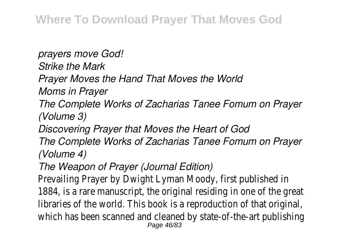*prayers move God! Strike the Mark Prayer Moves the Hand That Moves the World Moms in Prayer The Complete Works of Zacharias Tanee Fomum on Prayer (Volume 3) Discovering Prayer that Moves the Heart of God The Complete Works of Zacharias Tanee Fomum on Prayer (Volume 4) The Weapon of Prayer (Journal Edition)* Prevailing Prayer by Dwight Lyman Moody, first po 1884, is a rare manuscript, the original residing in libraries of the world. This book is a reproduction which has been scanned and cleaned by state-of-the-Page 46/83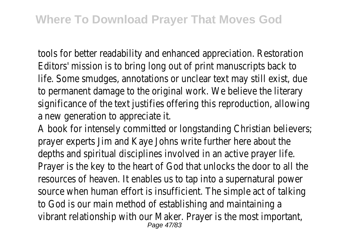tools for better readability and enhanced appreciation. Editors' mission is to bring long out of print manu life. Some smudges, annotations or unclear text m to permanent damage to the original work. We be significance of the text justifies offering this reproduction. a new generation to appreciate it.

A book for intensely committed or longstanding C prayer experts Jim and Kaye Johns write further h depths and spiritual disciplines involved in an active Prayer is the key to the heart of God that unlock resources of heaven. It enables us to tap into a s source when human effort is insufficient. The sim to God is our main method of establishing and ma vibrant relationship with our Maker. Prayer is the  $r_{\text{age 47/83}}$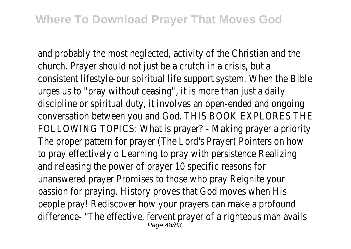and probably the most neglected, activity of the Christian and the Christian and the C church. Prayer should not just be a crutch in a criconsistent lifestyle-our spiritual life support system. urges us to "pray without ceasing", it is more tha discipline or spiritual duty, it involves an open-end conversation between you and God. THIS BOOK EX FOLLOWING TOPICS: What is prayer? - Making pra The proper pattern for prayer (The Lord's Prayer) to pray effectively o Learning to pray with persistence Realizing and releasing the power of prayer 10 specific reasons unanswered prayer Promises to those who pray F passion for praying. History proves that God move people pray! Rediscover how your prayers can mal difference- "The effective, fervent prayer of a right Page 48/83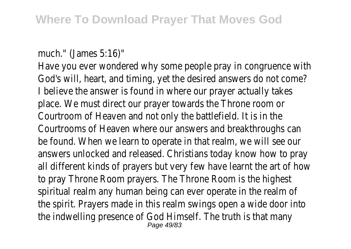much." (James 5:16)"

Have you ever wondered why some people pray in God's will, heart, and timing, yet the desired answers I believe the answer is found in where our prayer place. We must direct our prayer towards the Throne Courtroom of Heaven and not only the battlefield. Courtrooms of Heaven where our answers and breakthroughbe found. When we learn to operate in that realm answers unlocked and released. Christians today k all different kinds of prayers but very few have learnt kinds of prayers but very few to pray Throne Room prayers. The Throne Room is spiritual realm any human being can ever operate the spirit. Prayers made in this realm swings oper the indwelling presence of God Himself. The truth Page 49/83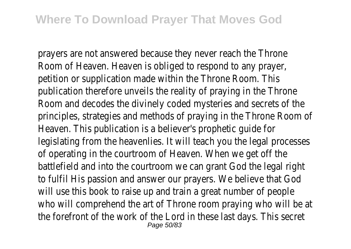prayers are not answered because they never rea Room of Heaven. Heaven is obliged to respond to petition or supplication made within the Throne R publication therefore unveils the reality of praying Room and decodes the divinely coded mysteries and principles, strategies and methods of praying in the Heaven. This publication is a believer's prophetic quide for legislating from the heavenlies. It will teach you the of operating in the courtroom of Heaven. When we battlefield and into the courtroom we can grant ( to fulfil His passion and answer our prayers. We be will use this book to raise up and train a great nu who will comprehend the art of Throne room pray the forefront of the work of the Lord in these last Page 50/83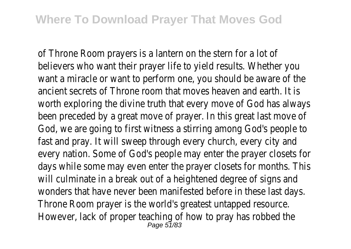of Throne Room prayers is a lantern on the stern believers who want their prayer life to yield result want a miracle or want to perform one, you should be aware the aware of the  $\alpha$ ancient secrets of Throne room that moves heave worth exploring the divine truth that every move been preceded by a great move of prayer. In this God, we are going to first witness a stirring amore fast and pray. It will sweep through every church every nation. Some of God's people may enter the days while some may even enter the prayer closet will culminate in a break out of a heightened degree of signal and signifiant and signifiant and signifiance of  $\frac{1}{2}$ wonders that have never been manifested before Throne Room prayer is the world's greatest untap However, lack of proper teaching of how to pray  $_{\text{Page 51/83}}$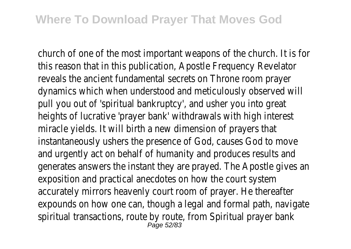church of one of the most important weapons of this reason that in this publication, Apostle Freque reveals the ancient fundamental secrets on Thron dynamics which when understood and meticulous pull you out of 'spiritual bankruptcy', and usher you heights of lucrative 'prayer bank' withdrawals with miracle yields. It will birth a new dimension of pray instantaneously ushers the presence of God, caus and urgently act on behalf of humanity and produ generates answers the instant they are prayed. The exposition and practical anecdotes on how the co accurately mirrors heavenly court room of prayer. expounds on how one can, though a legal and form spiritual transactions, route by route, from Spiritual Page 52/83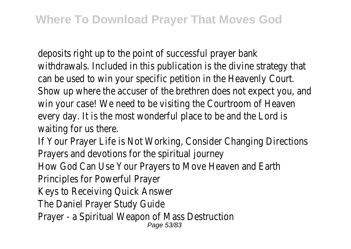deposits right up to the point of successful prayer withdrawals. Included in this publication is the divine can be used to win your specific petition in the H Show up where the accuser of the brethren does win your case! We need to be visiting the Courtro every day. It is the most wonderful place to be are waiting for us there.

If Your Prayer Life is Not Working, Consider Chang Prayers and devotions for the spiritual journey How God Can Use Your Prayers to Move Heaven a Principles for Powerful Prayer

Keys to Receiving Quick Answer

The Daniel Prayer Study Guide

Prayer - a Spiritual Weapon of Mass Destruction Page 53/83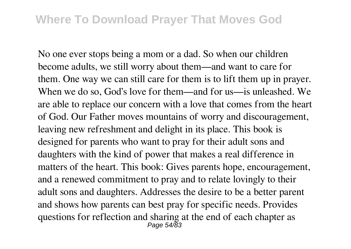No one ever stops being a mom or a dad. So when our children become adults, we still worry about them—and want to care for them. One way we can still care for them is to lift them up in prayer. When we do so, God's love for them—and for us—is unleashed. We are able to replace our concern with a love that comes from the heart of God. Our Father moves mountains of worry and discouragement, leaving new refreshment and delight in its place. This book is designed for parents who want to pray for their adult sons and daughters with the kind of power that makes a real difference in matters of the heart. This book: Gives parents hope, encouragement, and a renewed commitment to pray and to relate lovingly to their adult sons and daughters. Addresses the desire to be a better parent and shows how parents can best pray for specific needs. Provides questions for reflection and sharing at the end of each chapter as Page 54/83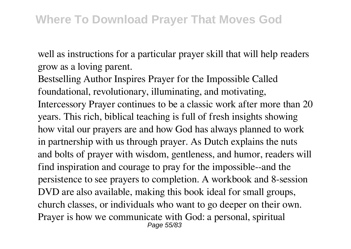well as instructions for a particular prayer skill that will help readers grow as a loving parent.

Bestselling Author Inspires Prayer for the Impossible Called foundational, revolutionary, illuminating, and motivating, Intercessory Prayer continues to be a classic work after more than 20 years. This rich, biblical teaching is full of fresh insights showing how vital our prayers are and how God has always planned to work in partnership with us through prayer. As Dutch explains the nuts and bolts of prayer with wisdom, gentleness, and humor, readers will find inspiration and courage to pray for the impossible--and the persistence to see prayers to completion. A workbook and 8-session DVD are also available, making this book ideal for small groups, church classes, or individuals who want to go deeper on their own. Prayer is how we communicate with God: a personal, spiritual Page 55/83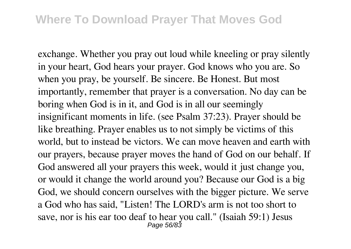exchange. Whether you pray out loud while kneeling or pray silently in your heart, God hears your prayer. God knows who you are. So when you pray, be yourself. Be sincere. Be Honest. But most importantly, remember that prayer is a conversation. No day can be boring when God is in it, and God is in all our seemingly insignificant moments in life. (see Psalm 37:23). Prayer should be like breathing. Prayer enables us to not simply be victims of this world, but to instead be victors. We can move heaven and earth with our prayers, because prayer moves the hand of God on our behalf. If God answered all your prayers this week, would it just change you, or would it change the world around you? Because our God is a big God, we should concern ourselves with the bigger picture. We serve a God who has said, "Listen! The LORD's arm is not too short to save, nor is his ear too deaf to hear you call." (Isaiah 59:1) Jesus Page 56/83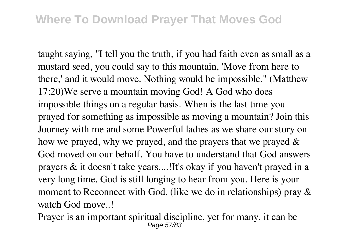taught saying, "I tell you the truth, if you had faith even as small as a mustard seed, you could say to this mountain, 'Move from here to there,' and it would move. Nothing would be impossible." (Matthew 17:20)We serve a mountain moving God! A God who does impossible things on a regular basis. When is the last time you prayed for something as impossible as moving a mountain? Join this Journey with me and some Powerful ladies as we share our story on how we prayed, why we prayed, and the prayers that we prayed & God moved on our behalf. You have to understand that God answers prayers & it doesn't take years....!It's okay if you haven't prayed in a very long time. God is still longing to hear from you. Here is your moment to Reconnect with God, (like we do in relationships) pray & watch God move.<sup>!</sup>

Prayer is an important spiritual discipline, yet for many, it can be Page 57/83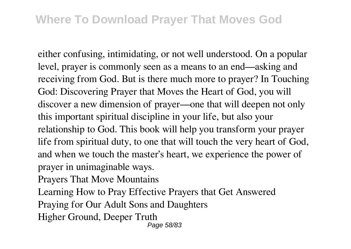either confusing, intimidating, or not well understood. On a popular level, prayer is commonly seen as a means to an end—asking and receiving from God. But is there much more to prayer? In Touching God: Discovering Prayer that Moves the Heart of God, you will discover a new dimension of prayer—one that will deepen not only this important spiritual discipline in your life, but also your relationship to God. This book will help you transform your prayer life from spiritual duty, to one that will touch the very heart of God, and when we touch the master's heart, we experience the power of prayer in unimaginable ways.

Prayers That Move Mountains

Learning How to Pray Effective Prayers that Get Answered Praying for Our Adult Sons and Daughters

Higher Ground, Deeper Truth

Page 58/83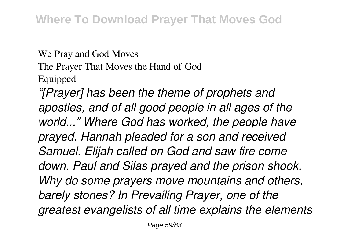We Pray and God Moves The Prayer That Moves the Hand of God Equipped *"[Prayer] has been the theme of prophets and apostles, and of all good people in all ages of the world..." Where God has worked, the people have prayed. Hannah pleaded for a son and received Samuel. Elijah called on God and saw fire come down. Paul and Silas prayed and the prison shook. Why do some prayers move mountains and others, barely stones? In Prevailing Prayer, one of the greatest evangelists of all time explains the elements*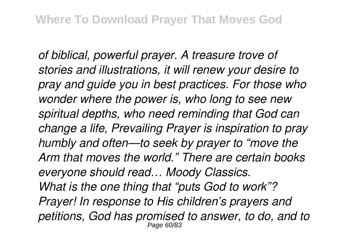*of biblical, powerful prayer. A treasure trove of stories and illustrations, it will renew your desire to pray and guide you in best practices. For those who wonder where the power is, who long to see new spiritual depths, who need reminding that God can change a life, Prevailing Prayer is inspiration to pray humbly and often—to seek by prayer to "move the Arm that moves the world." There are certain books everyone should read… Moody Classics. What is the one thing that "puts God to work"? Prayer! In response to His children's prayers and petitions, God has promised to answer, to do, and to* Page 60/83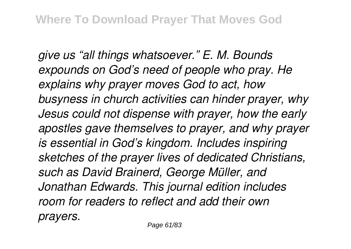*give us "all things whatsoever." E. M. Bounds expounds on God's need of people who pray. He explains why prayer moves God to act, how busyness in church activities can hinder prayer, why Jesus could not dispense with prayer, how the early apostles gave themselves to prayer, and why prayer is essential in God's kingdom. Includes inspiring sketches of the prayer lives of dedicated Christians, such as David Brainerd, George Müller, and Jonathan Edwards. This journal edition includes room for readers to reflect and add their own prayers.*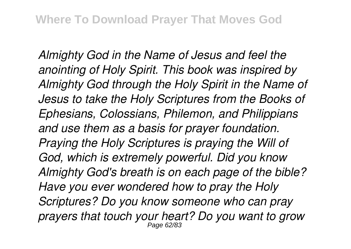*Almighty God in the Name of Jesus and feel the anointing of Holy Spirit. This book was inspired by Almighty God through the Holy Spirit in the Name of Jesus to take the Holy Scriptures from the Books of Ephesians, Colossians, Philemon, and Philippians and use them as a basis for prayer foundation. Praying the Holy Scriptures is praying the Will of God, which is extremely powerful. Did you know Almighty God's breath is on each page of the bible? Have you ever wondered how to pray the Holy Scriptures? Do you know someone who can pray prayers that touch your heart? Do you want to grow* Page 62/83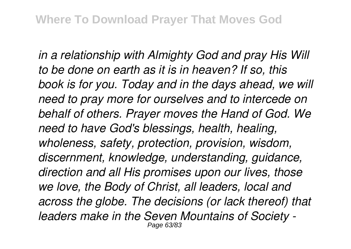*in a relationship with Almighty God and pray His Will to be done on earth as it is in heaven? If so, this book is for you. Today and in the days ahead, we will need to pray more for ourselves and to intercede on behalf of others. Prayer moves the Hand of God. We need to have God's blessings, health, healing, wholeness, safety, protection, provision, wisdom, discernment, knowledge, understanding, guidance, direction and all His promises upon our lives, those we love, the Body of Christ, all leaders, local and across the globe. The decisions (or lack thereof) that leaders make in the Seven Mountains of Society -* Page 63/83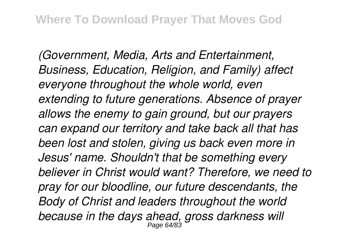*(Government, Media, Arts and Entertainment, Business, Education, Religion, and Family) affect everyone throughout the whole world, even extending to future generations. Absence of prayer allows the enemy to gain ground, but our prayers can expand our territory and take back all that has been lost and stolen, giving us back even more in Jesus' name. Shouldn't that be something every believer in Christ would want? Therefore, we need to pray for our bloodline, our future descendants, the Body of Christ and leaders throughout the world because in the days ahead, gross darkness will* Page 64/83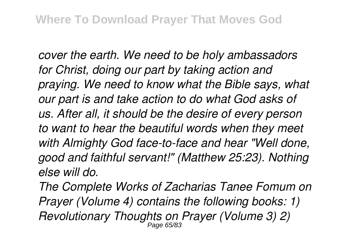*cover the earth. We need to be holy ambassadors for Christ, doing our part by taking action and praying. We need to know what the Bible says, what our part is and take action to do what God asks of us. After all, it should be the desire of every person to want to hear the beautiful words when they meet with Almighty God face-to-face and hear "Well done, good and faithful servant!" (Matthew 25:23). Nothing else will do.*

*The Complete Works of Zacharias Tanee Fomum on Prayer (Volume 4) contains the following books: 1) Revolutionary Thoughts on Prayer (Volume 3) 2)* Page 65/83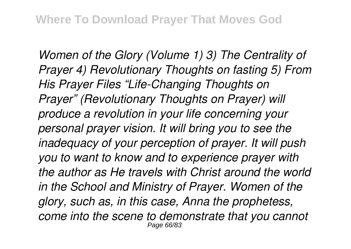*Women of the Glory (Volume 1) 3) The Centrality of Prayer 4) Revolutionary Thoughts on fasting 5) From His Prayer Files "Life-Changing Thoughts on Prayer" (Revolutionary Thoughts on Prayer) will produce a revolution in your life concerning your personal prayer vision. It will bring you to see the inadequacy of your perception of prayer. It will push you to want to know and to experience prayer with the author as He travels with Christ around the world in the School and Ministry of Prayer. Women of the glory, such as, in this case, Anna the prophetess, come into the scene to demonstrate that you cannot* Page 66/83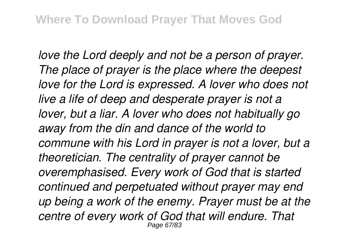*love the Lord deeply and not be a person of prayer. The place of prayer is the place where the deepest love for the Lord is expressed. A lover who does not live a life of deep and desperate prayer is not a lover, but a liar. A lover who does not habitually go away from the din and dance of the world to commune with his Lord in prayer is not a lover, but a theoretician. The centrality of prayer cannot be overemphasised. Every work of God that is started continued and perpetuated without prayer may end up being a work of the enemy. Prayer must be at the centre of every work of God that will endure. That* Page 67/83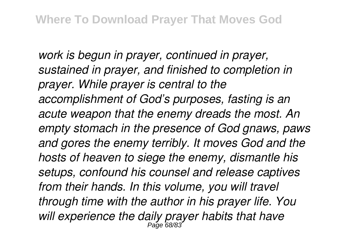*work is begun in prayer, continued in prayer, sustained in prayer, and finished to completion in prayer. While prayer is central to the accomplishment of God's purposes, fasting is an acute weapon that the enemy dreads the most. An empty stomach in the presence of God gnaws, paws and gores the enemy terribly. It moves God and the hosts of heaven to siege the enemy, dismantle his setups, confound his counsel and release captives from their hands. In this volume, you will travel through time with the author in his prayer life. You will experience the daily prayer habits that have* Page 68/83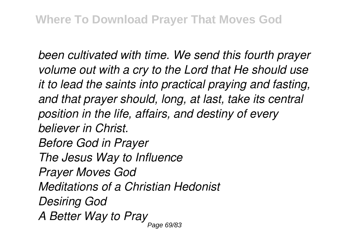*been cultivated with time. We send this fourth prayer volume out with a cry to the Lord that He should use it to lead the saints into practical praying and fasting, and that prayer should, long, at last, take its central position in the life, affairs, and destiny of every believer in Christ. Before God in Prayer The Jesus Way to Influence Prayer Moves God Meditations of a Christian Hedonist Desiring God A Better Way to Pray* Page 69/83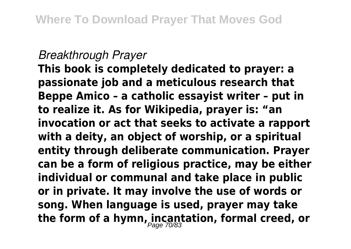## *Breakthrough Prayer*

**This book is completely dedicated to prayer: a passionate job and a meticulous research that Beppe Amico – a catholic essayist writer – put in to realize it. As for Wikipedia, prayer is: "an invocation or act that seeks to activate a rapport with a deity, an object of worship, or a spiritual entity through deliberate communication. Prayer can be a form of religious practice, may be either individual or communal and take place in public or in private. It may involve the use of words or song. When language is used, prayer may take the form of a hymn, incantation, formal creed, or** Page 70/83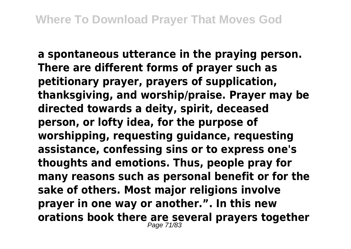**a spontaneous utterance in the praying person. There are different forms of prayer such as petitionary prayer, prayers of supplication, thanksgiving, and worship/praise. Prayer may be directed towards a deity, spirit, deceased person, or lofty idea, for the purpose of worshipping, requesting guidance, requesting assistance, confessing sins or to express one's thoughts and emotions. Thus, people pray for many reasons such as personal benefit or for the sake of others. Most major religions involve prayer in one way or another.". In this new orations book there are several prayers together** Page 71/83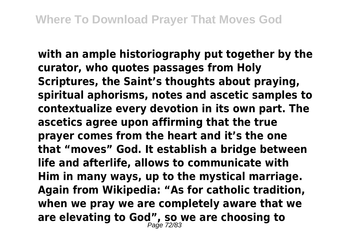**with an ample historiography put together by the curator, who quotes passages from Holy Scriptures, the Saint's thoughts about praying, spiritual aphorisms, notes and ascetic samples to contextualize every devotion in its own part. The ascetics agree upon affirming that the true prayer comes from the heart and it's the one that "moves" God. It establish a bridge between life and afterlife, allows to communicate with Him in many ways, up to the mystical marriage. Again from Wikipedia: "As for catholic tradition, when we pray we are completely aware that we are elevating to God", so we are choosing to** Page 72/83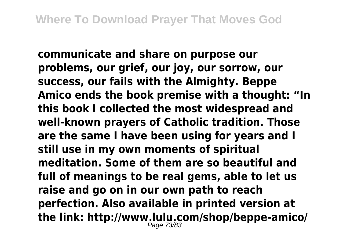**communicate and share on purpose our problems, our grief, our joy, our sorrow, our success, our fails with the Almighty. Beppe Amico ends the book premise with a thought: "In this book I collected the most widespread and well-known prayers of Catholic tradition. Those are the same I have been using for years and I still use in my own moments of spiritual meditation. Some of them are so beautiful and full of meanings to be real gems, able to let us raise and go on in our own path to reach perfection. Also available in printed version at the link: http://www.lulu.com/shop/beppe-amico/** Page 73/83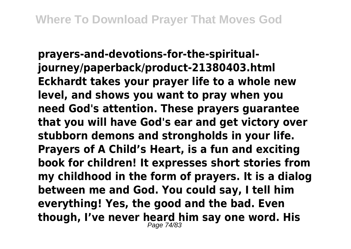**prayers-and-devotions-for-the-spiritualjourney/paperback/product-21380403.html Eckhardt takes your prayer life to a whole new level, and shows you want to pray when you need God's attention. These prayers guarantee that you will have God's ear and get victory over stubborn demons and strongholds in your life. Prayers of A Child's Heart, is a fun and exciting book for children! It expresses short stories from my childhood in the form of prayers. It is a dialog between me and God. You could say, I tell him everything! Yes, the good and the bad. Even though, I've never heard him say one word. His** Page 74/83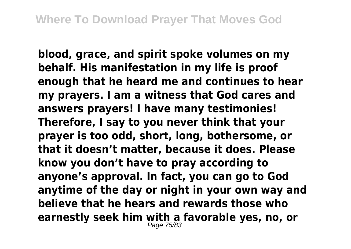**blood, grace, and spirit spoke volumes on my behalf. His manifestation in my life is proof enough that he heard me and continues to hear my prayers. I am a witness that God cares and answers prayers! I have many testimonies! Therefore, I say to you never think that your prayer is too odd, short, long, bothersome, or that it doesn't matter, because it does. Please know you don't have to pray according to anyone's approval. In fact, you can go to God anytime of the day or night in your own way and believe that he hears and rewards those who earnestly seek him with a favorable yes, no, or** Page 75/83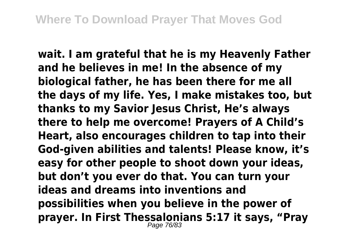**wait. I am grateful that he is my Heavenly Father and he believes in me! In the absence of my biological father, he has been there for me all the days of my life. Yes, I make mistakes too, but thanks to my Savior Jesus Christ, He's always there to help me overcome! Prayers of A Child's Heart, also encourages children to tap into their God-given abilities and talents! Please know, it's easy for other people to shoot down your ideas, but don't you ever do that. You can turn your ideas and dreams into inventions and possibilities when you believe in the power of prayer. In First Thessalonians 5:17 it says, "Pray** Page 76/83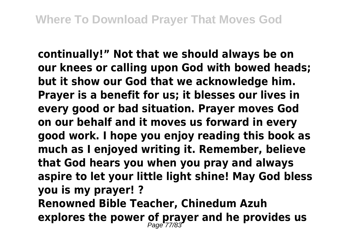**continually!" Not that we should always be on our knees or calling upon God with bowed heads; but it show our God that we acknowledge him. Prayer is a benefit for us; it blesses our lives in every good or bad situation. Prayer moves God on our behalf and it moves us forward in every good work. I hope you enjoy reading this book as much as I enjoyed writing it. Remember, believe that God hears you when you pray and always aspire to let your little light shine! May God bless you is my prayer! ? Renowned Bible Teacher, Chinedum Azuh explores the power of prayer and he provides us** Page 77/83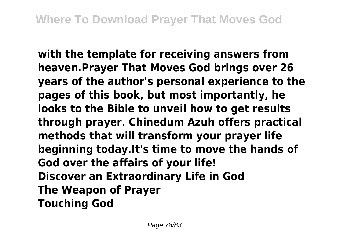**with the template for receiving answers from heaven.Prayer That Moves God brings over 26 years of the author's personal experience to the pages of this book, but most importantly, he looks to the Bible to unveil how to get results through prayer. Chinedum Azuh offers practical methods that will transform your prayer life beginning today.It's time to move the hands of God over the affairs of your life! Discover an Extraordinary Life in God The Weapon of Prayer Touching God**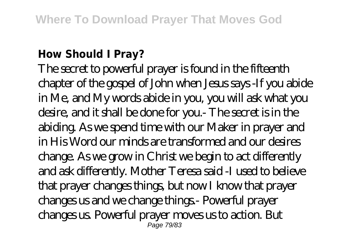## **How Should I Pray?**

The secret to powerful prayer is found in the fifteenth chapter of the gospel of John when Jesus says -If you abide in Me, and My words abide in you, you will ask what you desire, and it shall be done for you.- The secret is in the abiding. As we spend time with our Maker in prayer and in His Word our minds are transformed and our desires change. As we grow in Christ we begin to act differently and ask differently. Mother Teresa said -I used to believe that prayer changes things, but now I know that prayer changes us and we change things.- Powerful prayer changes us. Powerful prayer moves us to action. But Page 79/83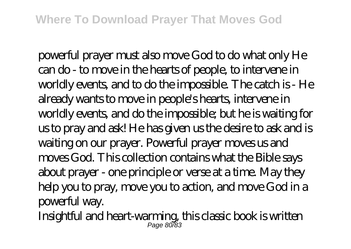powerful prayer must also move God to do what only He can do - to move in the hearts of people, to intervene in worldly events, and to do the impossible. The catch is - He already wants to move in people's hearts, intervene in worldly events, and do the impossible; but he is waiting for us to pray and ask! He has given us the desire to ask and is waiting on our prayer. Powerful prayer moves us and moves God. This collection contains what the Bible says about prayer - one principle or verse at a time. May they help you to pray, move you to action, and move God in a powerful way.

Insightful and heart-warming, this classic book is written  $P$ age 80/83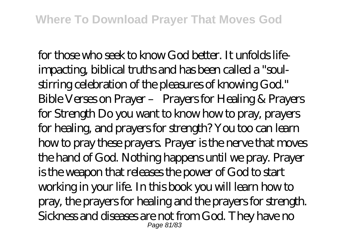for those who seek to know God better. It unfolds lifeimpacting, biblical truths and has been called a "soulstirring celebration of the pleasures of knowing God." Bible Verses on Prayer – Prayers for Healing & Prayers for Strength Do you want to know how to pray, prayers for healing, and prayers for strength? You too can learn how to pray these prayers. Prayer is the nerve that moves the hand of God. Nothing happens until we pray. Prayer is the weapon that releases the power of God to start working in your life. In this book you will learn how to pray, the prayers for healing and the prayers for strength. Sickness and diseases are not from God. They have no Page 81/83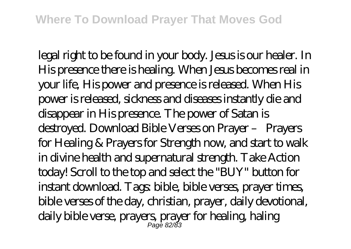legal right to be found in your body. Jesus is our healer. In His presence there is healing. When Jesus becomes real in your life, His power and presence is released. When His power is released, sickness and diseases instantly die and disappear in His presence. The power of Satan is destroyed. Download Bible Verses on Prayer – Prayers for Healing & Prayers for Strength now, and start to walk in divine health and supernatural strength. Take Action today! Scroll to the top and select the "BUY" button for instant download. Tags: bible, bible verses, prayer times, bible verses of the day, christian, prayer, daily devotional, daily bible verse, prayers, prayer for healing, haling Pagē 82/83